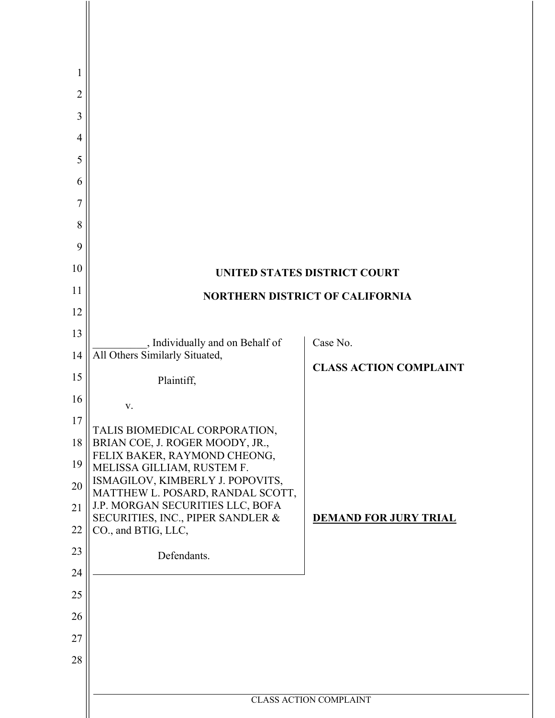| 1              |                                                                       |                               |  |  |
|----------------|-----------------------------------------------------------------------|-------------------------------|--|--|
| $\overline{2}$ |                                                                       |                               |  |  |
| 3              |                                                                       |                               |  |  |
| $\overline{4}$ |                                                                       |                               |  |  |
| 5              |                                                                       |                               |  |  |
| 6              |                                                                       |                               |  |  |
| 7              |                                                                       |                               |  |  |
| 8              |                                                                       |                               |  |  |
| 9              |                                                                       |                               |  |  |
| 10             | UNITED STATES DISTRICT COURT                                          |                               |  |  |
| 11             | <b>NORTHERN DISTRICT OF CALIFORNIA</b>                                |                               |  |  |
| 12             |                                                                       |                               |  |  |
| 13             | ., Individually and on Behalf of                                      | Case No.                      |  |  |
| 14             | All Others Similarly Situated,                                        | <b>CLASS ACTION COMPLAINT</b> |  |  |
| 15             | Plaintiff,                                                            |                               |  |  |
| 16             | V.                                                                    |                               |  |  |
| 17             | TALIS BIOMEDICAL CORPORATION,                                         |                               |  |  |
| 18             | BRIAN COE, J. ROGER MOODY, JR.,<br>FELIX BAKER, RAYMOND CHEONG,       |                               |  |  |
| 19             | MELISSA GILLIAM, RUSTEM F.<br>ISMAGILOV, KIMBERLY J. POPOVITS,        |                               |  |  |
| 20             | MATTHEW L. POSARD, RANDAL SCOTT,                                      |                               |  |  |
| 21             | J.P. MORGAN SECURITIES LLC, BOFA<br>SECURITIES, INC., PIPER SANDLER & | <b>DEMAND FOR JURY TRIAL</b>  |  |  |
| 22             | CO., and BTIG, LLC,                                                   |                               |  |  |
| 23             | Defendants.                                                           |                               |  |  |
| 24<br>25       |                                                                       |                               |  |  |
| 26             |                                                                       |                               |  |  |
| 27             |                                                                       |                               |  |  |
| 28             |                                                                       |                               |  |  |
|                |                                                                       |                               |  |  |
|                | <b>CLASS ACTION COMPLAINT</b>                                         |                               |  |  |
|                |                                                                       |                               |  |  |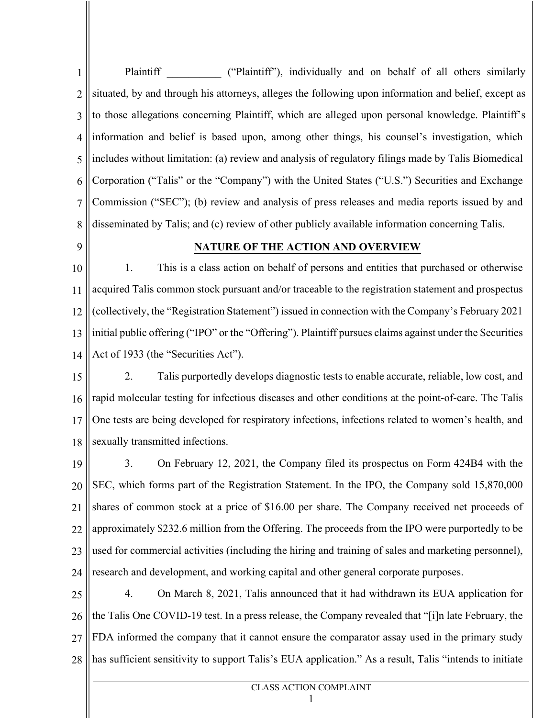1 2 3 4 5 6 7 8 Plaintiff ("Plaintiff"), individually and on behalf of all others similarly situated, by and through his attorneys, alleges the following upon information and belief, except as to those allegations concerning Plaintiff, which are alleged upon personal knowledge. Plaintiff's information and belief is based upon, among other things, his counsel's investigation, which includes without limitation: (a) review and analysis of regulatory filings made by Talis Biomedical Corporation ("Talis" or the "Company") with the United States ("U.S.") Securities and Exchange Commission ("SEC"); (b) review and analysis of press releases and media reports issued by and disseminated by Talis; and (c) review of other publicly available information concerning Talis.

**9** 

#### **NATURE OF THE ACTION AND OVERVIEW**

10 11 12 13 14 1. This is a class action on behalf of persons and entities that purchased or otherwise acquired Talis common stock pursuant and/or traceable to the registration statement and prospectus (collectively, the "Registration Statement") issued in connection with the Company's February 2021 initial public offering ("IPO" or the "Offering"). Plaintiff pursues claims against under the Securities Act of 1933 (the "Securities Act").

15 16 17 18 2. Talis purportedly develops diagnostic tests to enable accurate, reliable, low cost, and rapid molecular testing for infectious diseases and other conditions at the point-of-care. The Talis One tests are being developed for respiratory infections, infections related to women's health, and sexually transmitted infections.

19 20 21 22 23 24 3. On February 12, 2021, the Company filed its prospectus on Form 424B4 with the SEC, which forms part of the Registration Statement. In the IPO, the Company sold 15,870,000 shares of common stock at a price of \$16.00 per share. The Company received net proceeds of approximately \$232.6 million from the Offering. The proceeds from the IPO were purportedly to be used for commercial activities (including the hiring and training of sales and marketing personnel), research and development, and working capital and other general corporate purposes.

25 26 27 28 4. On March 8, 2021, Talis announced that it had withdrawn its EUA application for the Talis One COVID-19 test. In a press release, the Company revealed that "[i]n late February, the FDA informed the company that it cannot ensure the comparator assay used in the primary study has sufficient sensitivity to support Talis's EUA application." As a result, Talis "intends to initiate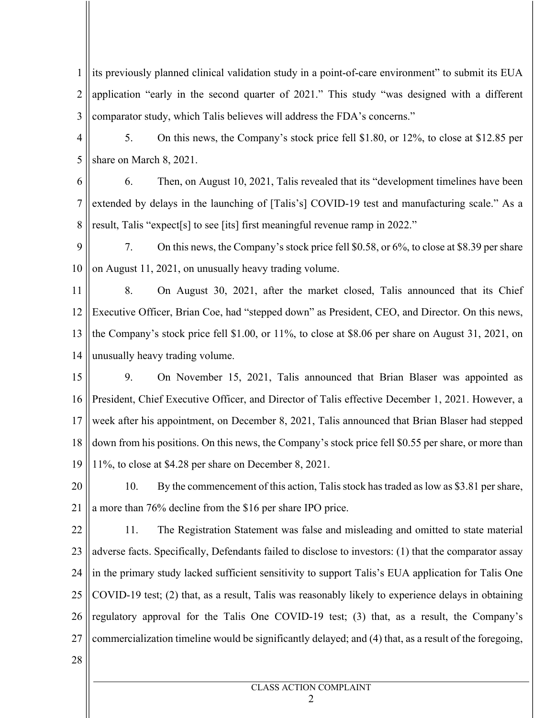1 2 3 its previously planned clinical validation study in a point-of-care environment" to submit its EUA application "early in the second quarter of 2021." This study "was designed with a different comparator study, which Talis believes will address the FDA's concerns."

4 5 5. On this news, the Company's stock price fell \$1.80, or 12%, to close at \$12.85 per share on March 8, 2021.

6 7 8 6. Then, on August 10, 2021, Talis revealed that its "development timelines have been extended by delays in the launching of [Talis's] COVID-19 test and manufacturing scale." As a result, Talis "expect[s] to see [its] first meaningful revenue ramp in 2022."

9 10 7. On this news, the Company's stock price fell \$0.58, or 6%, to close at \$8.39 per share on August 11, 2021, on unusually heavy trading volume.

11 12 13 14 8. On August 30, 2021, after the market closed, Talis announced that its Chief Executive Officer, Brian Coe, had "stepped down" as President, CEO, and Director. On this news, the Company's stock price fell \$1.00, or 11%, to close at \$8.06 per share on August 31, 2021, on unusually heavy trading volume.

15 16 17 18 19 9. On November 15, 2021, Talis announced that Brian Blaser was appointed as President, Chief Executive Officer, and Director of Talis effective December 1, 2021. However, a week after his appointment, on December 8, 2021, Talis announced that Brian Blaser had stepped down from his positions. On this news, the Company's stock price fell \$0.55 per share, or more than 11%, to close at \$4.28 per share on December 8, 2021.

20 21 10. By the commencement of this action, Talis stock has traded as low as \$3.81 per share, a more than 76% decline from the \$16 per share IPO price.

22 23 24 25 26 27 11. The Registration Statement was false and misleading and omitted to state material adverse facts. Specifically, Defendants failed to disclose to investors: (1) that the comparator assay in the primary study lacked sufficient sensitivity to support Talis's EUA application for Talis One COVID-19 test; (2) that, as a result, Talis was reasonably likely to experience delays in obtaining regulatory approval for the Talis One COVID-19 test; (3) that, as a result, the Company's commercialization timeline would be significantly delayed; and (4) that, as a result of the foregoing,

28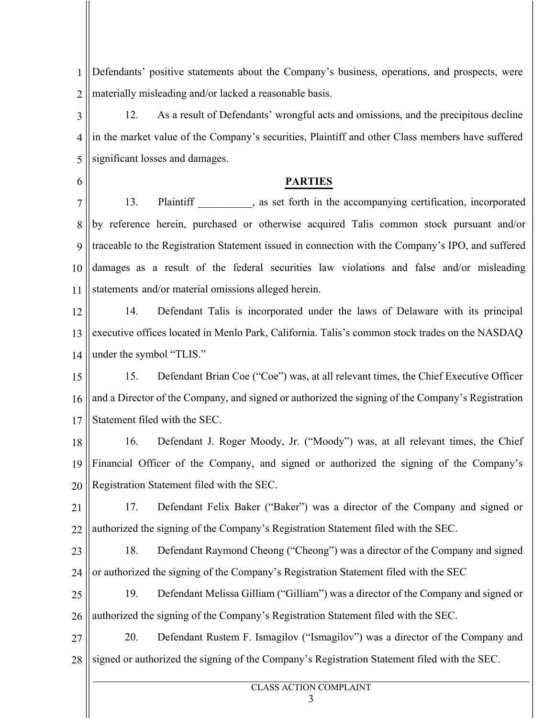1 2 Defendants' positive statements about the Company's business, operations, and prospects, were materially misleading and/or lacked a reasonable basis.

3 4 5 12. As a result of Defendants' wrongful acts and omissions, and the precipitous decline in the market value of the Company's securities, Plaintiff and other Class members have suffered significant losses and damages.

6

### **PARTIES**

7 8 9 10 11 13. Plaintiff \_\_\_\_\_\_\_\_\_, as set forth in the accompanying certification, incorporated by reference herein, purchased or otherwise acquired Talis common stock pursuant and/or traceable to the Registration Statement issued in connection with the Company's IPO, and suffered damages as a result of the federal securities law violations and false and/or misleading statements and/or material omissions alleged herein.

12 13 14 14. Defendant Talis is incorporated under the laws of Delaware with its principal executive offices located in Menlo Park, California. Talis's common stock trades on the NASDAQ under the symbol "TLIS."

15 16 17 15. Defendant Brian Coe ("Coe") was, at all relevant times, the Chief Executive Officer and a Director of the Company, and signed or authorized the signing of the Company's Registration Statement filed with the SEC.

18 19 20 16. Defendant J. Roger Moody, Jr. ("Moody") was, at all relevant times, the Chief Financial Officer of the Company, and signed or authorized the signing of the Company's Registration Statement filed with the SEC.

21 22 17. Defendant Felix Baker ("Baker") was a director of the Company and signed or authorized the signing of the Company's Registration Statement filed with the SEC.

23 24 18. Defendant Raymond Cheong ("Cheong") was a director of the Company and signed or authorized the signing of the Company's Registration Statement filed with the SEC

25 26 19. Defendant Melissa Gilliam ("Gilliam") was a director of the Company and signed or authorized the signing of the Company's Registration Statement filed with the SEC.

27 28 20. Defendant Rustem F. Ismagilov ("Ismagilov") was a director of the Company and signed or authorized the signing of the Company's Registration Statement filed with the SEC.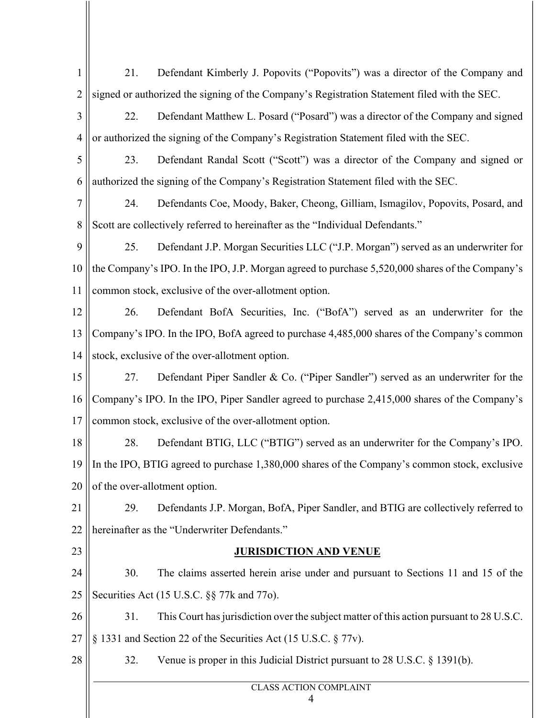| $\mathbf{1}$   | Defendant Kimberly J. Popovits ("Popovits") was a director of the Company and<br>21.                |  |  |  |
|----------------|-----------------------------------------------------------------------------------------------------|--|--|--|
| $\overline{2}$ | signed or authorized the signing of the Company's Registration Statement filed with the SEC.        |  |  |  |
| 3              | Defendant Matthew L. Posard ("Posard") was a director of the Company and signed<br>22.              |  |  |  |
| $\overline{4}$ | or authorized the signing of the Company's Registration Statement filed with the SEC.               |  |  |  |
| 5              | 23.<br>Defendant Randal Scott ("Scott") was a director of the Company and signed or                 |  |  |  |
| 6              | authorized the signing of the Company's Registration Statement filed with the SEC.                  |  |  |  |
| 7              | 24.<br>Defendants Coe, Moody, Baker, Cheong, Gilliam, Ismagilov, Popovits, Posard, and              |  |  |  |
| 8              | Scott are collectively referred to hereinafter as the "Individual Defendants."                      |  |  |  |
| 9              | Defendant J.P. Morgan Securities LLC ("J.P. Morgan") served as an underwriter for<br>25.            |  |  |  |
| 10             | the Company's IPO. In the IPO, J.P. Morgan agreed to purchase 5,520,000 shares of the Company's     |  |  |  |
| 11             | common stock, exclusive of the over-allotment option.                                               |  |  |  |
| 12             | 26.<br>Defendant BofA Securities, Inc. ("BofA") served as an underwriter for the                    |  |  |  |
| 13             | Company's IPO. In the IPO, BofA agreed to purchase 4,485,000 shares of the Company's common         |  |  |  |
| 14             | stock, exclusive of the over-allotment option.                                                      |  |  |  |
| 15             | Defendant Piper Sandler & Co. ("Piper Sandler") served as an underwriter for the<br>27.             |  |  |  |
| 16             | Company's IPO. In the IPO, Piper Sandler agreed to purchase 2,415,000 shares of the Company's       |  |  |  |
| 17             | common stock, exclusive of the over-allotment option.                                               |  |  |  |
| 18             | 28.<br>Defendant BTIG, LLC ("BTIG") served as an underwriter for the Company's IPO.                 |  |  |  |
|                | 19    In the IPO, BTIG agreed to purchase 1,380,000 shares of the Company's common stock, exclusive |  |  |  |
| 20             | of the over-allotment option.                                                                       |  |  |  |
| 21             | Defendants J.P. Morgan, BofA, Piper Sandler, and BTIG are collectively referred to<br>29.           |  |  |  |
| 22             | hereinafter as the "Underwriter Defendants."                                                        |  |  |  |
| 23             | <b>JURISDICTION AND VENUE</b>                                                                       |  |  |  |
| 24             | 30.<br>The claims asserted herein arise under and pursuant to Sections 11 and 15 of the             |  |  |  |
| 25             | Securities Act (15 U.S.C. §§ 77k and 77o).                                                          |  |  |  |
| 26             | 31.<br>This Court has jurisdiction over the subject matter of this action pursuant to 28 U.S.C.     |  |  |  |
| 27             | § 1331 and Section 22 of the Securities Act (15 U.S.C. § 77v).                                      |  |  |  |
| 28             | Venue is proper in this Judicial District pursuant to 28 U.S.C. $\S$ 1391(b).<br>32.                |  |  |  |
|                | <b>CLASS ACTION COMPLAINT</b>                                                                       |  |  |  |
|                | 4                                                                                                   |  |  |  |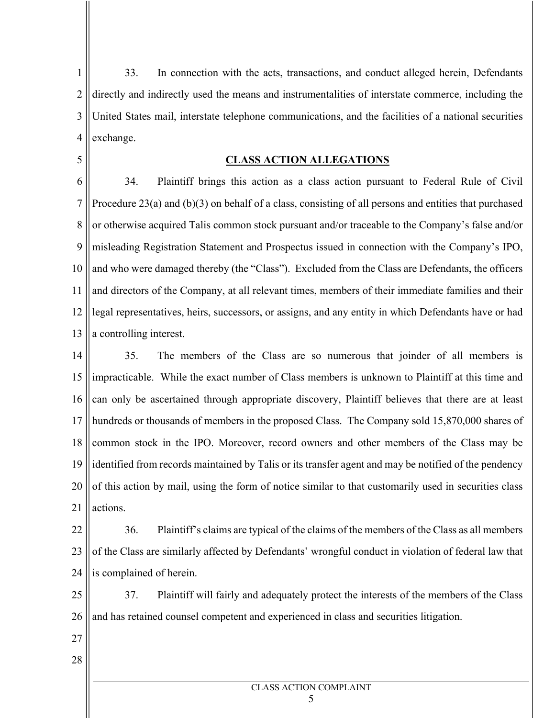1 2 3 4 33. In connection with the acts, transactions, and conduct alleged herein, Defendants directly and indirectly used the means and instrumentalities of interstate commerce, including the United States mail, interstate telephone communications, and the facilities of a national securities exchange.

#### **CLASS ACTION ALLEGATIONS**

6 7 8 9 10 11 12 13 34. Plaintiff brings this action as a class action pursuant to Federal Rule of Civil Procedure 23(a) and  $(b)(3)$  on behalf of a class, consisting of all persons and entities that purchased or otherwise acquired Talis common stock pursuant and/or traceable to the Company's false and/or misleading Registration Statement and Prospectus issued in connection with the Company's IPO, and who were damaged thereby (the "Class"). Excluded from the Class are Defendants, the officers and directors of the Company, at all relevant times, members of their immediate families and their legal representatives, heirs, successors, or assigns, and any entity in which Defendants have or had a controlling interest.

14 15 16 17 18 19 20 21 35. The members of the Class are so numerous that joinder of all members is impracticable. While the exact number of Class members is unknown to Plaintiff at this time and can only be ascertained through appropriate discovery, Plaintiff believes that there are at least hundreds or thousands of members in the proposed Class. The Company sold 15,870,000 shares of common stock in the IPO. Moreover, record owners and other members of the Class may be identified from records maintained by Talis or its transfer agent and may be notified of the pendency of this action by mail, using the form of notice similar to that customarily used in securities class actions.

22 23 24 36. Plaintiff's claims are typical of the claims of the members of the Class as all members of the Class are similarly affected by Defendants' wrongful conduct in violation of federal law that is complained of herein.

25 26 37. Plaintiff will fairly and adequately protect the interests of the members of the Class and has retained counsel competent and experienced in class and securities litigation.

27

5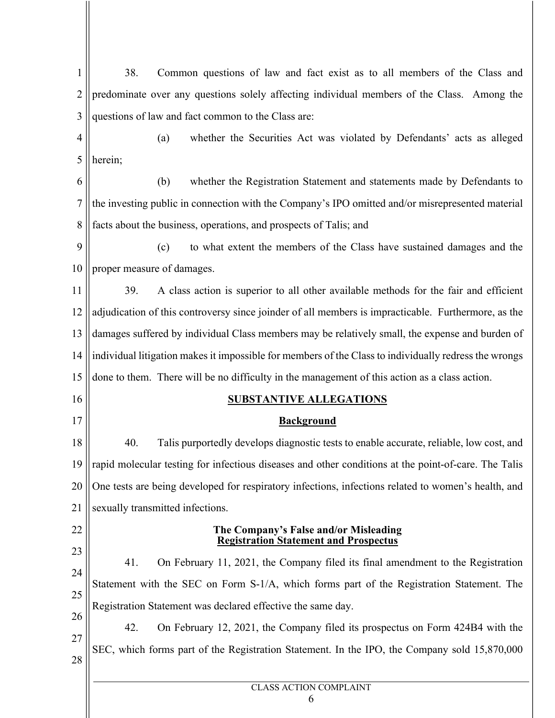1 2 3 4 5 6 7 8 9 10 11 12 13 14 15 16 17 18 19 20 21 22 23 24 25 26 27 28 38. Common questions of law and fact exist as to all members of the Class and predominate over any questions solely affecting individual members of the Class. Among the questions of law and fact common to the Class are: (a) whether the Securities Act was violated by Defendants' acts as alleged herein; (b) whether the Registration Statement and statements made by Defendants to the investing public in connection with the Company's IPO omitted and/or misrepresented material facts about the business, operations, and prospects of Talis; and (c) to what extent the members of the Class have sustained damages and the proper measure of damages. 39. A class action is superior to all other available methods for the fair and efficient adjudication of this controversy since joinder of all members is impracticable. Furthermore, as the damages suffered by individual Class members may be relatively small, the expense and burden of individual litigation makes it impossible for members of the Class to individually redress the wrongs done to them. There will be no difficulty in the management of this action as a class action. **SUBSTANTIVE ALLEGATIONS Background** 40. Talis purportedly develops diagnostic tests to enable accurate, reliable, low cost, and rapid molecular testing for infectious diseases and other conditions at the point-of-care. The Talis One tests are being developed for respiratory infections, infections related to women's health, and sexually transmitted infections. **The Company's False and/or Misleading Registration Statement and Prospectus** 41. On February 11, 2021, the Company filed its final amendment to the Registration Statement with the SEC on Form S-1/A, which forms part of the Registration Statement. The Registration Statement was declared effective the same day. 42. On February 12, 2021, the Company filed its prospectus on Form 424B4 with the SEC, which forms part of the Registration Statement. In the IPO, the Company sold 15,870,000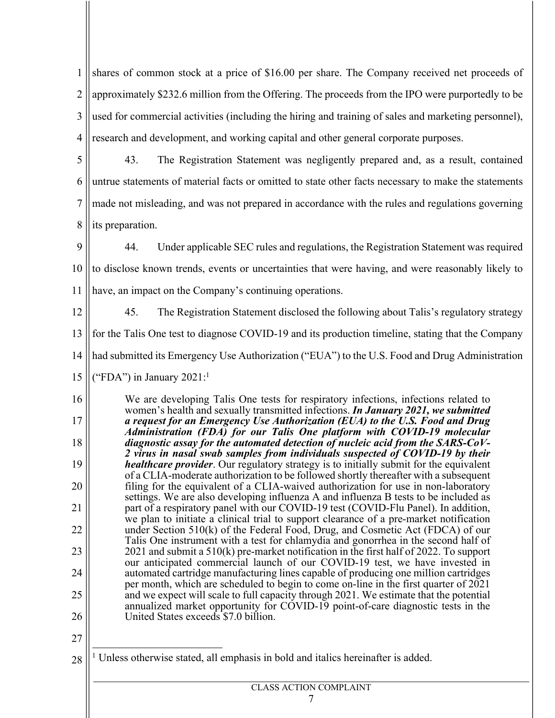1 2 3 4 shares of common stock at a price of \$16.00 per share. The Company received net proceeds of approximately \$232.6 million from the Offering. The proceeds from the IPO were purportedly to be used for commercial activities (including the hiring and training of sales and marketing personnel), research and development, and working capital and other general corporate purposes.

5 6 7 8 43. The Registration Statement was negligently prepared and, as a result, contained untrue statements of material facts or omitted to state other facts necessary to make the statements made not misleading, and was not prepared in accordance with the rules and regulations governing its preparation.

9

44. Under applicable SEC rules and regulations, the Registration Statement was required

10 to disclose known trends, events or uncertainties that were having, and were reasonably likely to

11 have, an impact on the Company's continuing operations.

12 45. The Registration Statement disclosed the following about Talis's regulatory strategy

13 for the Talis One test to diagnose COVID-19 and its production timeline, stating that the Company

14 had submitted its Emergency Use Authorization ("EUA") to the U.S. Food and Drug Administration

15 ("FDA") in January  $2021$ :<sup>1</sup>

16 17 18 19 20 21 22 23 24 25 26 We are developing Talis One tests for respiratory infections, infections related to women's health and sexually transmitted infections. *In January 2021, we submitted a request for an Emergency Use Authorization (EUA) to the U.S. Food and Drug Administration (FDA) for our Talis One platform with COVID-19 molecular diagnostic assay for the automated detection of nucleic acid from the SARS-CoV- 2 virus in nasal swab samples from individuals suspected of COVID-19 by their healthcare provider*. Our regulatory strategy is to initially submit for the equivalent of a CLIA-moderate authorization to be followed shortly thereafter with a subsequent filing for the equivalent of a CLIA-waived authorization for use in non-laboratory settings. We are also developing influenza A and influenza B tests to be included as part of a respiratory panel with our COVID-19 test (COVID-Flu Panel). In addition, we plan to initiate a clinical trial to support clearance of a pre-market notification under Section 510(k) of the Federal Food, Drug, and Cosmetic Act (FDCA) of our Talis One instrument with a test for chlamydia and gonorrhea in the second half of 2021 and submit a 510(k) pre-market notification in the first half of 2022. To support our anticipated commercial launch of our COVID-19 test, we have invested in automated cartridge manufacturing lines capable of producing one million cartridges per month, which are scheduled to begin to come on-line in the first quarter of 2021 and we expect will scale to full capacity through 2021. We estimate that the potential annualized market opportunity for COVID-19 point-of-care diagnostic tests in the United States exceeds \$7.0 billion.

<sup>28</sup> <sup>1</sup> Unless otherwise stated, all emphasis in bold and italics hereinafter is added.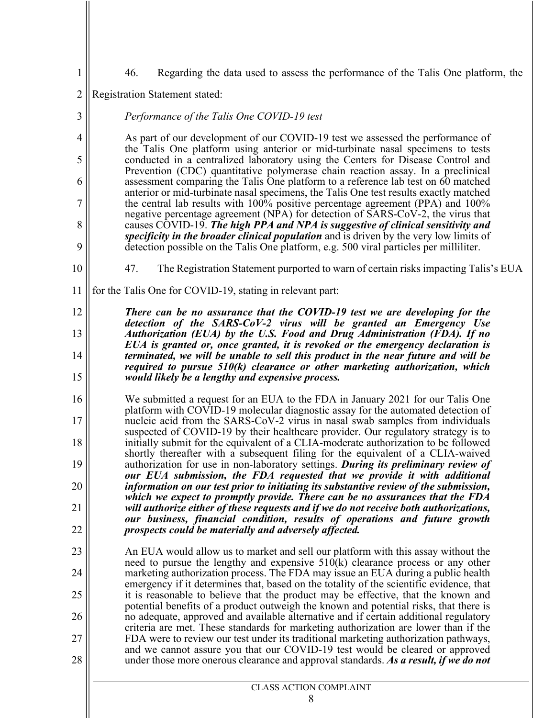46. Regarding the data used to assess the performance of the Talis One platform, the

2 Registration Statement stated:

4 5 6 7 8 9 As part of our development of our COVID-19 test we assessed the performance of the Talis One platform using anterior or mid-turbinate nasal specimens to tests conducted in a centralized laboratory using the Centers for Disease Control and Prevention (CDC) quantitative polymerase chain reaction assay. In a preclinical assessment comparing the Talis One platform to a reference lab test on 60 matched anterior or mid-turbinate nasal specimens, the Talis One test results exactly matched the central lab results with 100% positive percentage agreement (PPA) and 100% negative percentage agreement (NPA) for detection of SARS-CoV-2, the virus that causes COVID-19. *The high PPA and NPA is suggestive of clinical sensitivity and specificity in the broader clinical population* and is driven by the very low limits of detection possible on the Talis One platform, e.g. 500 viral particles per milliliter.

10

1

3

- 47. The Registration Statement purported to warn of certain risks impacting Talis's EUA
- 11 for the Talis One for COVID-19, stating in relevant part:

*Performance of the Talis One COVID-19 test*

12 13 14 15 *There can be no assurance that the COVID-19 test we are developing for the detection of the SARS-CoV-2 virus will be granted an Emergency Use Authorization (EUA) by the U.S. Food and Drug Administration (FDA). If no EUA is granted or, once granted, it is revoked or the emergency declaration is terminated, we will be unable to sell this product in the near future and will be required to pursue 510(k) clearance or other marketing authorization, which would likely be a lengthy and expensive process.*

- 16 17 18 19 20 21 22 We submitted a request for an EUA to the FDA in January 2021 for our Talis One platform with COVID-19 molecular diagnostic assay for the automated detection of nucleic acid from the SARS-CoV-2 virus in nasal swab samples from individuals suspected of COVID-19 by their healthcare provider. Our regulatory strategy is to initially submit for the equivalent of a CLIA-moderate authorization to be followed shortly thereafter with a subsequent filing for the equivalent of a CLIA-waived authorization for use in non-laboratory settings. *During its preliminary review of our EUA submission, the FDA requested that we provide it with additional information on our test prior to initiating its substantive review of the submission, which we expect to promptly provide. There can be no assurances that the FDA will authorize either of these requests and if we do not receive both authorizations, our business, financial condition, results of operations and future growth prospects could be materially and adversely affected.*
- 23 24 25 26 27 28 An EUA would allow us to market and sell our platform with this assay without the need to pursue the lengthy and expensive 510(k) clearance process or any other marketing authorization process. The FDA may issue an EUA during a public health emergency if it determines that, based on the totality of the scientific evidence, that it is reasonable to believe that the product may be effective, that the known and potential benefits of a product outweigh the known and potential risks, that there is no adequate, approved and available alternative and if certain additional regulatory criteria are met. These standards for marketing authorization are lower than if the FDA were to review our test under its traditional marketing authorization pathways, and we cannot assure you that our COVID-19 test would be cleared or approved under those more onerous clearance and approval standards. *As a result, if we do not*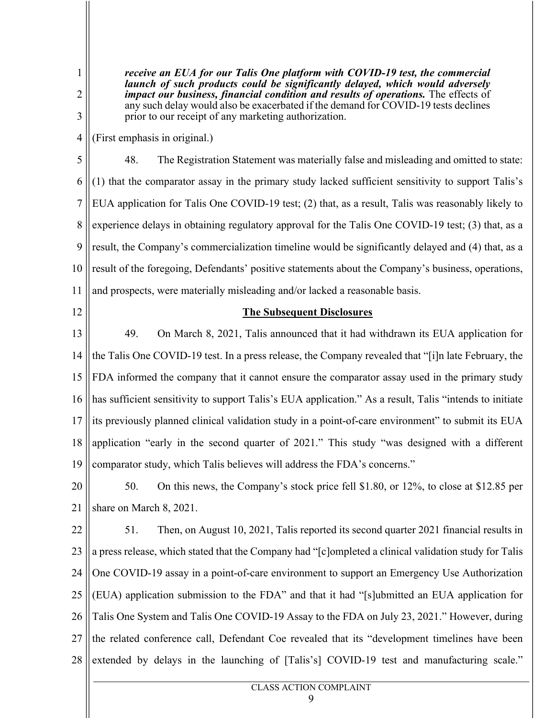*receive an EUA for our Talis One platform with COVID-19 test, the commercial launch of such products could be significantly delayed, which would adversely impact our business, financial condition and results of operations.* The effects of any such delay would also be exacerbated if the demand for COVID-19 tests declines prior to our receipt of any marketing authorization.

4 (First emphasis in original.)

5 6 7 8 9 10 11 48. The Registration Statement was materially false and misleading and omitted to state: (1) that the comparator assay in the primary study lacked sufficient sensitivity to support Talis's EUA application for Talis One COVID-19 test; (2) that, as a result, Talis was reasonably likely to experience delays in obtaining regulatory approval for the Talis One COVID-19 test; (3) that, as a result, the Company's commercialization timeline would be significantly delayed and (4) that, as a result of the foregoing, Defendants' positive statements about the Company's business, operations, and prospects, were materially misleading and/or lacked a reasonable basis.

12

1

2

3

#### **The Subsequent Disclosures**

13 14 15 16 17 18 19 49. On March 8, 2021, Talis announced that it had withdrawn its EUA application for the Talis One COVID-19 test. In a press release, the Company revealed that "[i]n late February, the FDA informed the company that it cannot ensure the comparator assay used in the primary study has sufficient sensitivity to support Talis's EUA application." As a result, Talis "intends to initiate its previously planned clinical validation study in a point-of-care environment" to submit its EUA application "early in the second quarter of 2021." This study "was designed with a different comparator study, which Talis believes will address the FDA's concerns."

20 21 50. On this news, the Company's stock price fell \$1.80, or 12%, to close at \$12.85 per share on March 8, 2021.

22 23 24 25 26 27 28 51. Then, on August 10, 2021, Talis reported its second quarter 2021 financial results in a press release, which stated that the Company had "[c]ompleted a clinical validation study for Talis One COVID-19 assay in a point-of-care environment to support an Emergency Use Authorization (EUA) application submission to the FDA" and that it had "[s]ubmitted an EUA application for Talis One System and Talis One COVID-19 Assay to the FDA on July 23, 2021." However, during the related conference call, Defendant Coe revealed that its "development timelines have been extended by delays in the launching of [Talis's] COVID-19 test and manufacturing scale."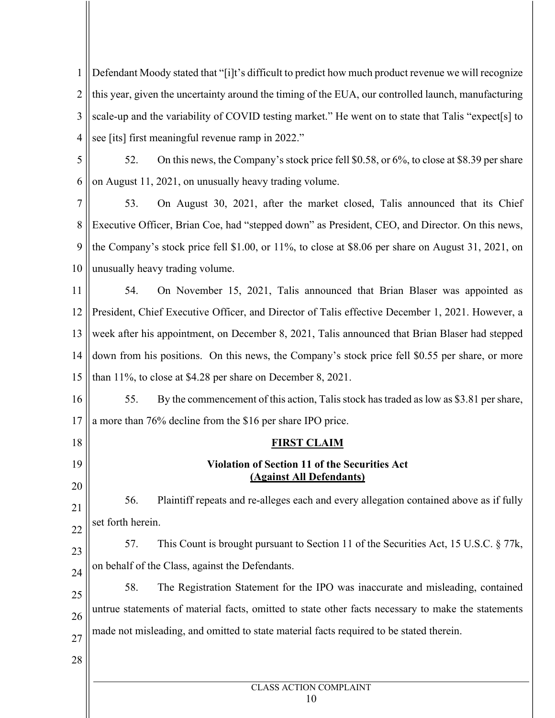1 2 3 4 Defendant Moody stated that "[i]t's difficult to predict how much product revenue we will recognize this year, given the uncertainty around the timing of the EUA, our controlled launch, manufacturing scale-up and the variability of COVID testing market." He went on to state that Talis "expect[s] to see [its] first meaningful revenue ramp in 2022."

5 6 52. On this news, the Company's stock price fell \$0.58, or 6%, to close at \$8.39 per share on August 11, 2021, on unusually heavy trading volume.

7 8 9 10 53. On August 30, 2021, after the market closed, Talis announced that its Chief Executive Officer, Brian Coe, had "stepped down" as President, CEO, and Director. On this news, the Company's stock price fell \$1.00, or 11%, to close at \$8.06 per share on August 31, 2021, on unusually heavy trading volume.

11 12 13 14 15 54. On November 15, 2021, Talis announced that Brian Blaser was appointed as President, Chief Executive Officer, and Director of Talis effective December 1, 2021. However, a week after his appointment, on December 8, 2021, Talis announced that Brian Blaser had stepped down from his positions. On this news, the Company's stock price fell \$0.55 per share, or more than 11%, to close at \$4.28 per share on December 8, 2021.

16 17 55. By the commencement of this action, Talis stock has traded as low as \$3.81 per share, a more than 76% decline from the \$16 per share IPO price.

18 19

20

# **FIRST CLAIM**

## **Violation of Section 11 of the Securities Act (Against All Defendants)**

21 22 56. Plaintiff repeats and re-alleges each and every allegation contained above as if fully set forth herein.

23 24 57. This Count is brought pursuant to Section 11 of the Securities Act, 15 U.S.C. § 77k, on behalf of the Class, against the Defendants.

25 26 27 58. The Registration Statement for the IPO was inaccurate and misleading, contained untrue statements of material facts, omitted to state other facts necessary to make the statements made not misleading, and omitted to state material facts required to be stated therein.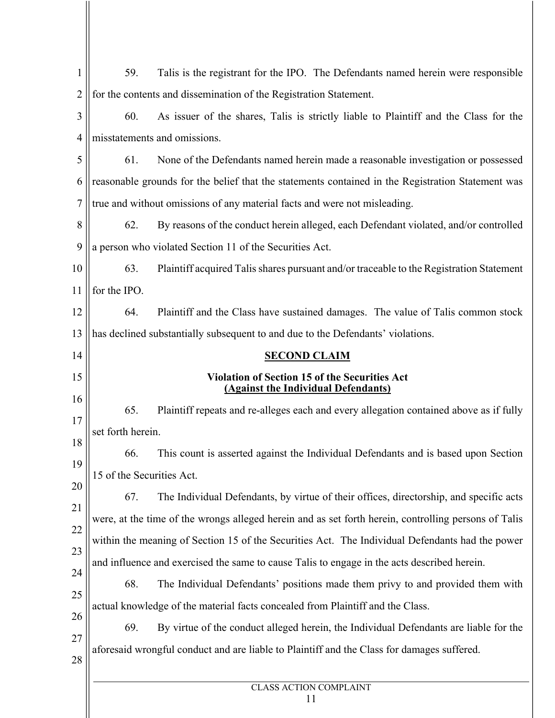| 1              | 59.                                                                                                  | Talis is the registrant for the IPO. The Defendants named herein were responsible                 |  |  |  |
|----------------|------------------------------------------------------------------------------------------------------|---------------------------------------------------------------------------------------------------|--|--|--|
| 2              |                                                                                                      | for the contents and dissemination of the Registration Statement.                                 |  |  |  |
| 3              | 60.                                                                                                  | As issuer of the shares, Talis is strictly liable to Plaintiff and the Class for the              |  |  |  |
| $\overline{4}$ | misstatements and omissions.                                                                         |                                                                                                   |  |  |  |
| 5              | 61.                                                                                                  | None of the Defendants named herein made a reasonable investigation or possessed                  |  |  |  |
| 6              |                                                                                                      | reasonable grounds for the belief that the statements contained in the Registration Statement was |  |  |  |
| 7              | true and without omissions of any material facts and were not misleading.                            |                                                                                                   |  |  |  |
| 8              | 62.                                                                                                  | By reasons of the conduct herein alleged, each Defendant violated, and/or controlled              |  |  |  |
| 9              | a person who violated Section 11 of the Securities Act.                                              |                                                                                                   |  |  |  |
| 10             | 63.                                                                                                  | Plaintiff acquired Talis shares pursuant and/or traceable to the Registration Statement           |  |  |  |
| 11             | for the IPO.                                                                                         |                                                                                                   |  |  |  |
| 12             | 64.                                                                                                  | Plaintiff and the Class have sustained damages. The value of Talis common stock                   |  |  |  |
| 13             | has declined substantially subsequent to and due to the Defendants' violations.                      |                                                                                                   |  |  |  |
| 14             | <b>SECOND CLAIM</b>                                                                                  |                                                                                                   |  |  |  |
| 15             | <b>Violation of Section 15 of the Securities Act</b><br><b>(Against the Individual Defendants)</b>   |                                                                                                   |  |  |  |
| 16             |                                                                                                      |                                                                                                   |  |  |  |
| 17             | 65.<br>Plaintiff repeats and re-alleges each and every allegation contained above as if fully        |                                                                                                   |  |  |  |
| 18             | set forth herein.                                                                                    |                                                                                                   |  |  |  |
| 19             | 66.<br>This count is asserted against the Individual Defendants and is based upon Section            |                                                                                                   |  |  |  |
| 20             | 15 of the Securities Act.                                                                            |                                                                                                   |  |  |  |
| 21             | 67.                                                                                                  | The Individual Defendants, by virtue of their offices, directorship, and specific acts            |  |  |  |
| 22             | were, at the time of the wrongs alleged herein and as set forth herein, controlling persons of Talis |                                                                                                   |  |  |  |
| 23             | within the meaning of Section 15 of the Securities Act. The Individual Defendants had the power      |                                                                                                   |  |  |  |
| 24             | and influence and exercised the same to cause Talis to engage in the acts described herein.          |                                                                                                   |  |  |  |
| 25             | 68.                                                                                                  | The Individual Defendants' positions made them privy to and provided them with                    |  |  |  |
| 26             | actual knowledge of the material facts concealed from Plaintiff and the Class.                       |                                                                                                   |  |  |  |
| 27             | 69.                                                                                                  | By virtue of the conduct alleged herein, the Individual Defendants are liable for the             |  |  |  |
| 28             | aforesaid wrongful conduct and are liable to Plaintiff and the Class for damages suffered.           |                                                                                                   |  |  |  |
|                |                                                                                                      |                                                                                                   |  |  |  |
|                | <b>CLASS ACTION COMPLAINT</b><br>11                                                                  |                                                                                                   |  |  |  |
|                |                                                                                                      |                                                                                                   |  |  |  |